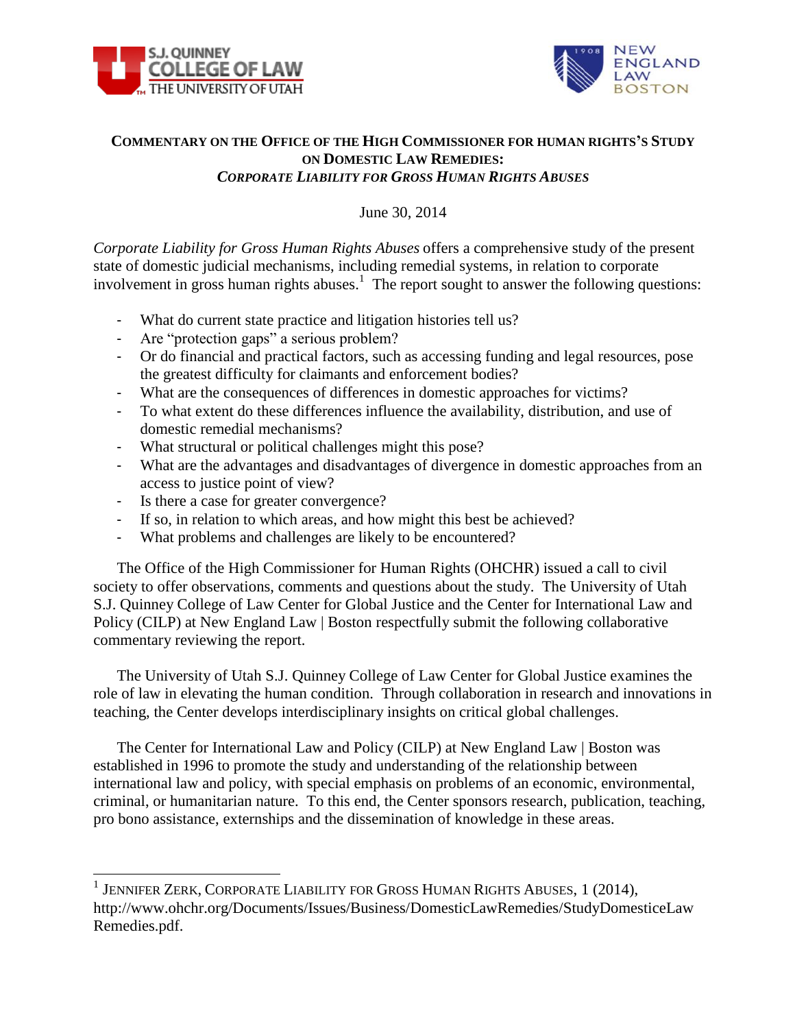



## **COMMENTARY ON THE OFFICE OF THE HIGH COMMISSIONER FOR HUMAN RIGHTS'S STUDY ON DOMESTIC LAW REMEDIES:**  *CORPORATE LIABILITY FOR GROSS HUMAN RIGHTS ABUSES*

June 30, 2014

*Corporate Liability for Gross Human Rights Abuses* offers a comprehensive study of the present state of domestic judicial mechanisms, including remedial systems, in relation to corporate involvement in gross human rights abuses.<sup>1</sup> The report sought to answer the following questions:

- What do current state practice and litigation histories tell us?
- Are "protection gaps" a serious problem?
- Or do financial and practical factors, such as accessing funding and legal resources, pose the greatest difficulty for claimants and enforcement bodies?
- What are the consequences of differences in domestic approaches for victims?
- To what extent do these differences influence the availability, distribution, and use of domestic remedial mechanisms?
- What structural or political challenges might this pose?
- What are the advantages and disadvantages of divergence in domestic approaches from an access to justice point of view?
- Is there a case for greater convergence?
- If so, in relation to which areas, and how might this best be achieved?
- What problems and challenges are likely to be encountered?

The Office of the High Commissioner for Human Rights (OHCHR) issued a call to civil society to offer observations, comments and questions about the study. The University of Utah S.J. Quinney College of Law Center for Global Justice and the Center for International Law and Policy (CILP) at New England Law | Boston respectfully submit the following collaborative commentary reviewing the report.

The University of Utah S.J. Quinney College of Law Center for Global Justice examines the role of law in elevating the human condition. Through collaboration in research and innovations in teaching, the Center develops interdisciplinary insights on critical global challenges.

The Center for International Law and Policy (CILP) at New England Law | Boston was established in 1996 to promote the study and understanding of the relationship between international law and policy, with special emphasis on problems of an economic, environmental, criminal, or humanitarian nature. To this end, the Center sponsors research, publication, teaching, pro bono assistance, externships and the dissemination of knowledge in these areas.

 1 JENNIFER ZERK, CORPORATE LIABILITY FOR GROSS HUMAN RIGHTS ABUSES, 1 (2014), http://www.ohchr.org/Documents/Issues/Business/DomesticLawRemedies/StudyDomesticeLaw Remedies.pdf.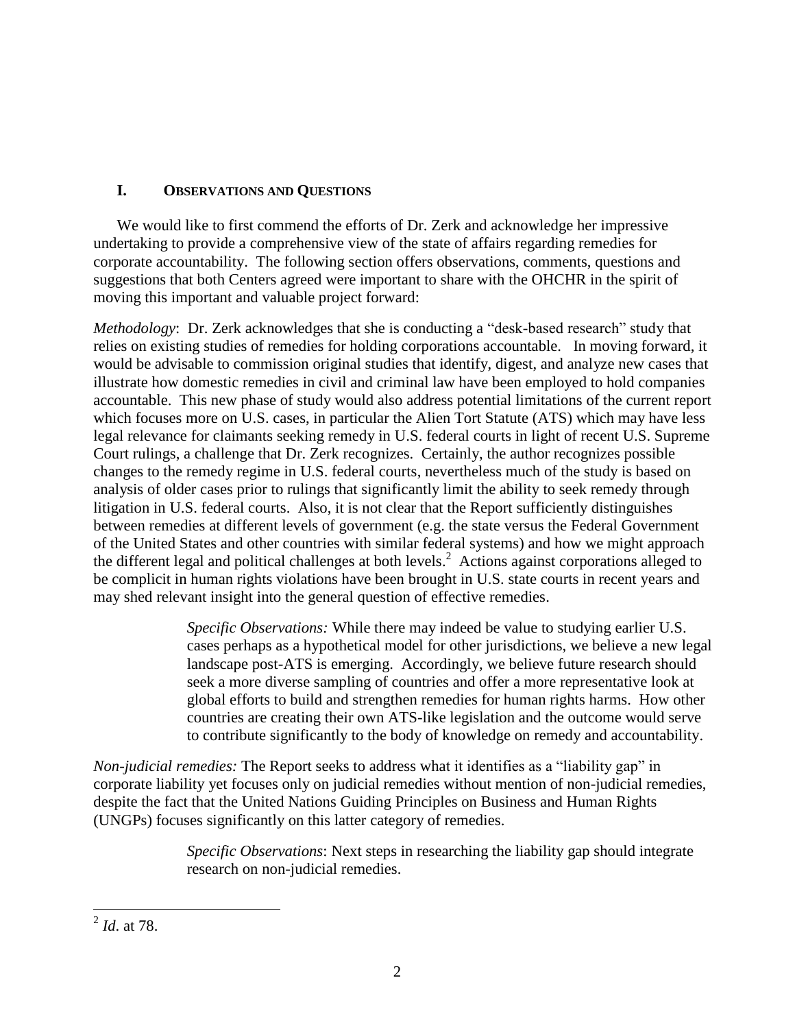## **I. OBSERVATIONS AND QUESTIONS**

 We would like to first commend the efforts of Dr. Zerk and acknowledge her impressive undertaking to provide a comprehensive view of the state of affairs regarding remedies for corporate accountability. The following section offers observations, comments, questions and suggestions that both Centers agreed were important to share with the OHCHR in the spirit of moving this important and valuable project forward:

*Methodology*: Dr. Zerk acknowledges that she is conducting a "desk-based research" study that relies on existing studies of remedies for holding corporations accountable. In moving forward, it would be advisable to commission original studies that identify, digest, and analyze new cases that illustrate how domestic remedies in civil and criminal law have been employed to hold companies accountable. This new phase of study would also address potential limitations of the current report which focuses more on U.S. cases, in particular the Alien Tort Statute (ATS) which may have less legal relevance for claimants seeking remedy in U.S. federal courts in light of recent U.S. Supreme Court rulings, a challenge that Dr. Zerk recognizes. Certainly, the author recognizes possible changes to the remedy regime in U.S. federal courts, nevertheless much of the study is based on analysis of older cases prior to rulings that significantly limit the ability to seek remedy through litigation in U.S. federal courts. Also, it is not clear that the Report sufficiently distinguishes between remedies at different levels of government (e.g. the state versus the Federal Government of the United States and other countries with similar federal systems) and how we might approach the different legal and political challenges at both levels. 2 Actions against corporations alleged to be complicit in human rights violations have been brought in U.S. state courts in recent years and may shed relevant insight into the general question of effective remedies.

> *Specific Observations:* While there may indeed be value to studying earlier U.S. cases perhaps as a hypothetical model for other jurisdictions, we believe a new legal landscape post-ATS is emerging. Accordingly, we believe future research should seek a more diverse sampling of countries and offer a more representative look at global efforts to build and strengthen remedies for human rights harms. How other countries are creating their own ATS-like legislation and the outcome would serve to contribute significantly to the body of knowledge on remedy and accountability.

*Non-judicial remedies:* The Report seeks to address what it identifies as a "liability gap" in corporate liability yet focuses only on judicial remedies without mention of non-judicial remedies, despite the fact that the United Nations Guiding Principles on Business and Human Rights (UNGPs) focuses significantly on this latter category of remedies.

> *Specific Observations*: Next steps in researching the liability gap should integrate research on non-judicial remedies.

 2 *Id*. at 78.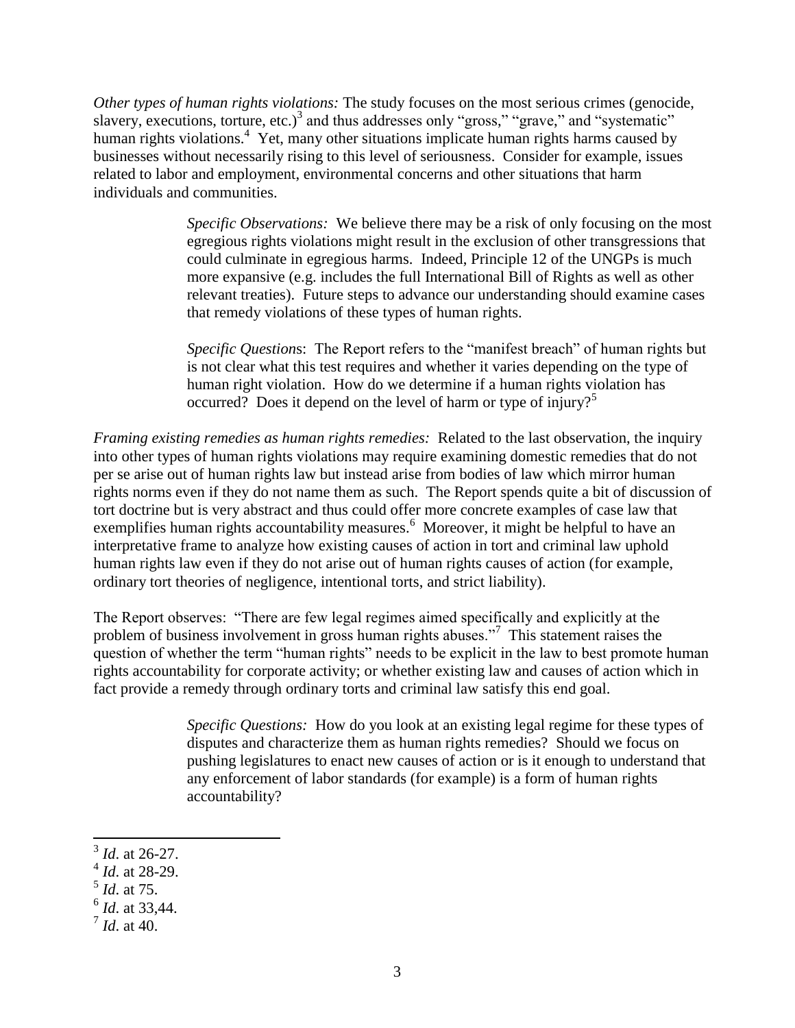*Other types of human rights violations:* The study focuses on the most serious crimes (genocide, slavery, executions, torture, etc.)<sup>3</sup> and thus addresses only "gross," "grave," and "systematic" human rights violations.<sup>4</sup> Yet, many other situations implicate human rights harms caused by businesses without necessarily rising to this level of seriousness. Consider for example, issues related to labor and employment, environmental concerns and other situations that harm individuals and communities.

> *Specific Observations:* We believe there may be a risk of only focusing on the most egregious rights violations might result in the exclusion of other transgressions that could culminate in egregious harms. Indeed, Principle 12 of the UNGPs is much more expansive (e.g. includes the full International Bill of Rights as well as other relevant treaties). Future steps to advance our understanding should examine cases that remedy violations of these types of human rights.

> *Specific Question*s: The Report refers to the "manifest breach" of human rights but is not clear what this test requires and whether it varies depending on the type of human right violation. How do we determine if a human rights violation has occurred? Does it depend on the level of harm or type of injury?<sup>5</sup>

*Framing existing remedies as human rights remedies:* Related to the last observation, the inquiry into other types of human rights violations may require examining domestic remedies that do not per se arise out of human rights law but instead arise from bodies of law which mirror human rights norms even if they do not name them as such. The Report spends quite a bit of discussion of tort doctrine but is very abstract and thus could offer more concrete examples of case law that exemplifies human rights accountability measures.<sup>6</sup> Moreover, it might be helpful to have an interpretative frame to analyze how existing causes of action in tort and criminal law uphold human rights law even if they do not arise out of human rights causes of action (for example, ordinary tort theories of negligence, intentional torts, and strict liability).

The Report observes: "There are few legal regimes aimed specifically and explicitly at the problem of business involvement in gross human rights abuses."<sup>7</sup> This statement raises the question of whether the term "human rights" needs to be explicit in the law to best promote human rights accountability for corporate activity; or whether existing law and causes of action which in fact provide a remedy through ordinary torts and criminal law satisfy this end goal.

> *Specific Questions:* How do you look at an existing legal regime for these types of disputes and characterize them as human rights remedies? Should we focus on pushing legislatures to enact new causes of action or is it enough to understand that any enforcement of labor standards (for example) is a form of human rights accountability?

 3 *Id*. at 26-27.

<sup>4</sup> *Id*. at 28-29.

<sup>5</sup> *Id*. at 75.

<sup>6</sup> *Id*. at 33,44.

<sup>7</sup> *Id*. at 40.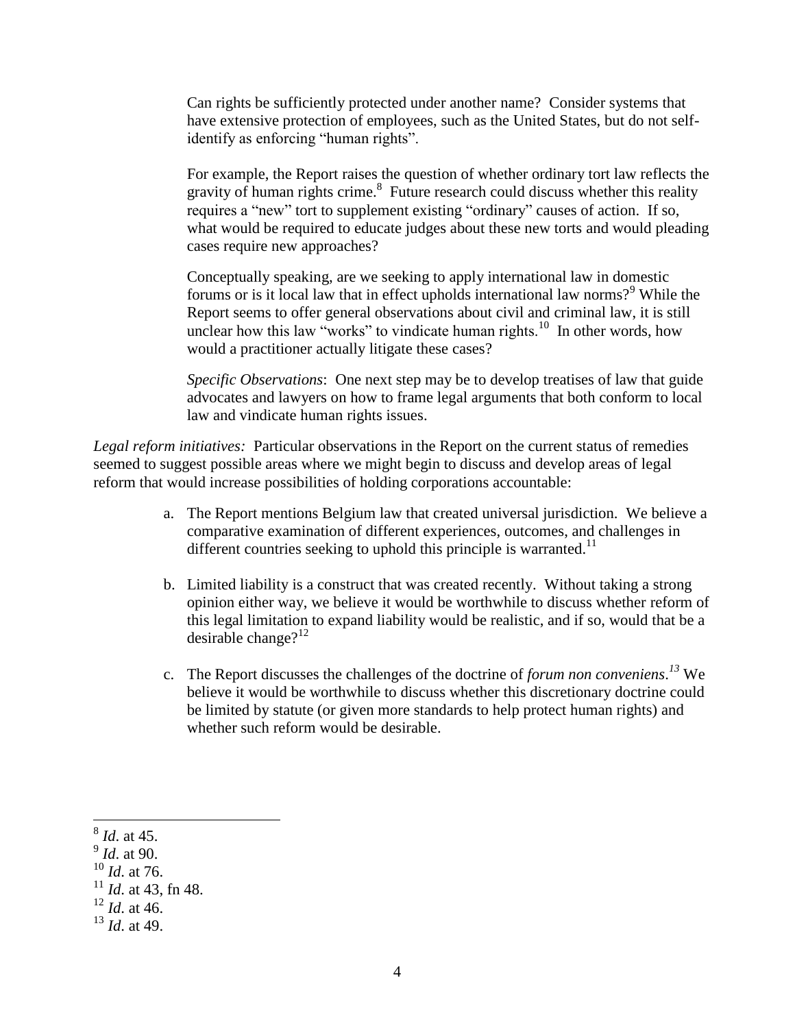Can rights be sufficiently protected under another name? Consider systems that have extensive protection of employees, such as the United States, but do not selfidentify as enforcing "human rights".

For example, the Report raises the question of whether ordinary tort law reflects the gravity of human rights crime. $8$  Future research could discuss whether this reality requires a "new" tort to supplement existing "ordinary" causes of action. If so, what would be required to educate judges about these new torts and would pleading cases require new approaches?

Conceptually speaking, are we seeking to apply international law in domestic forums or is it local law that in effect upholds international law norms?<sup>9</sup> While the Report seems to offer general observations about civil and criminal law, it is still unclear how this law "works" to vindicate human rights.<sup>10</sup> In other words, how would a practitioner actually litigate these cases?

*Specific Observations*: One next step may be to develop treatises of law that guide advocates and lawyers on how to frame legal arguments that both conform to local law and vindicate human rights issues.

*Legal reform initiatives:* Particular observations in the Report on the current status of remedies seemed to suggest possible areas where we might begin to discuss and develop areas of legal reform that would increase possibilities of holding corporations accountable:

- a. The Report mentions Belgium law that created universal jurisdiction. We believe a comparative examination of different experiences, outcomes, and challenges in different countries seeking to uphold this principle is warranted.<sup>11</sup>
- b. Limited liability is a construct that was created recently. Without taking a strong opinion either way, we believe it would be worthwhile to discuss whether reform of this legal limitation to expand liability would be realistic, and if so, would that be a desirable change?<sup>12</sup>
- c. The Report discusses the challenges of the doctrine of *forum non conveniens*. *<sup>13</sup>* We believe it would be worthwhile to discuss whether this discretionary doctrine could be limited by statute (or given more standards to help protect human rights) and whether such reform would be desirable.

 $\overline{\phantom{a}}$ 8 *Id*. at 45.

<sup>9</sup> *Id*. at 90.

<sup>10</sup> *Id*. at 76.

 $11$  *Id.* at 43, fn 48.

<sup>12</sup> *Id*. at 46.

<sup>13</sup> *Id*. at 49.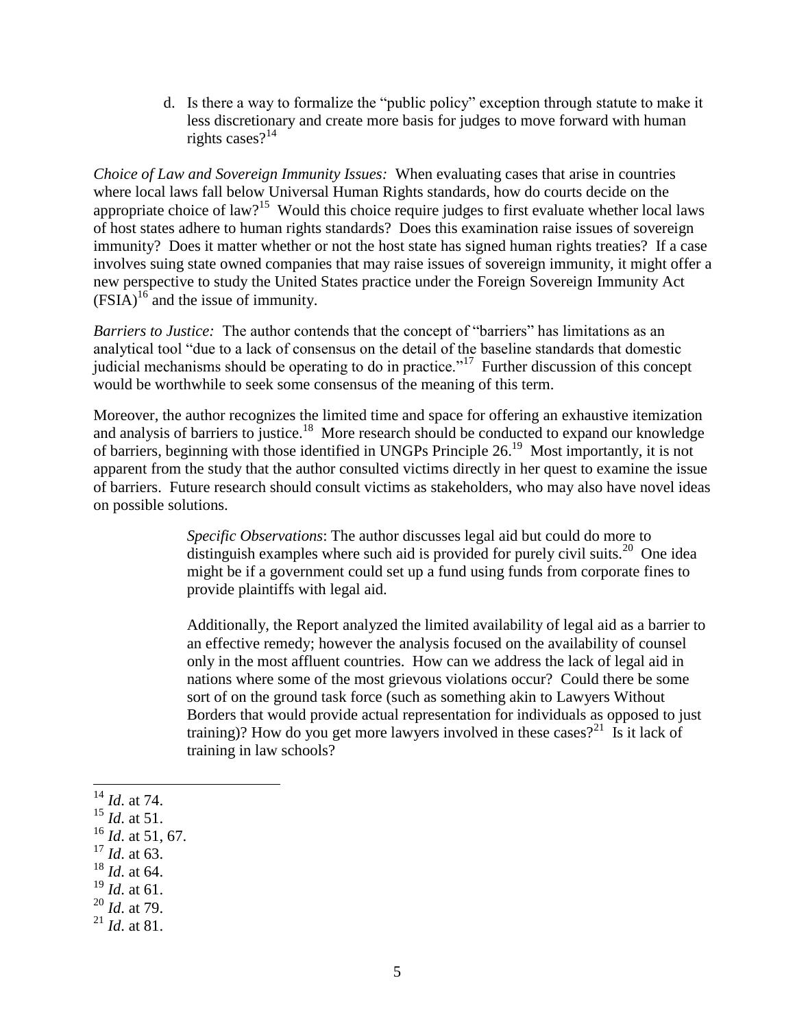d. Is there a way to formalize the "public policy" exception through statute to make it less discretionary and create more basis for judges to move forward with human rights cases? $14$ 

*Choice of Law and Sovereign Immunity Issues:* When evaluating cases that arise in countries where local laws fall below Universal Human Rights standards, how do courts decide on the appropriate choice of law?<sup>15</sup> Would this choice require judges to first evaluate whether local laws of host states adhere to human rights standards? Does this examination raise issues of sovereign immunity? Does it matter whether or not the host state has signed human rights treaties? If a case involves suing state owned companies that may raise issues of sovereign immunity, it might offer a new perspective to study the United States practice under the Foreign Sovereign Immunity Act  $(FSIA)^{16}$  and the issue of immunity.

*Barriers to Justice:* The author contends that the concept of "barriers" has limitations as an analytical tool "due to a lack of consensus on the detail of the baseline standards that domestic judicial mechanisms should be operating to do in practice.<sup> $17$ </sup> Further discussion of this concept would be worthwhile to seek some consensus of the meaning of this term.

Moreover, the author recognizes the limited time and space for offering an exhaustive itemization and analysis of barriers to justice.<sup>18</sup> More research should be conducted to expand our knowledge of barriers, beginning with those identified in UNGPs Principle 26.<sup>19</sup> Most importantly, it is not apparent from the study that the author consulted victims directly in her quest to examine the issue of barriers. Future research should consult victims as stakeholders, who may also have novel ideas on possible solutions.

> *Specific Observations*: The author discusses legal aid but could do more to distinguish examples where such aid is provided for purely civil suits.<sup>20</sup> One idea might be if a government could set up a fund using funds from corporate fines to provide plaintiffs with legal aid.

Additionally, the Report analyzed the limited availability of legal aid as a barrier to an effective remedy; however the analysis focused on the availability of counsel only in the most affluent countries. How can we address the lack of legal aid in nations where some of the most grievous violations occur? Could there be some sort of on the ground task force (such as something akin to Lawyers Without Borders that would provide actual representation for individuals as opposed to just training)? How do you get more lawyers involved in these cases?<sup>21</sup> Is it lack of training in law schools?

<sup>14</sup> *Id*. at 74.

l

- <sup>15</sup> *Id*. at 51.
- <sup>16</sup> *Id*. at 51, 67.
- <sup>17</sup> *Id*. at 63.
- <sup>18</sup> *Id*. at 64.
- <sup>19</sup> *Id*. at 61.
- <sup>20</sup> *Id*. at 79.
- <sup>21</sup> *Id*. at 81.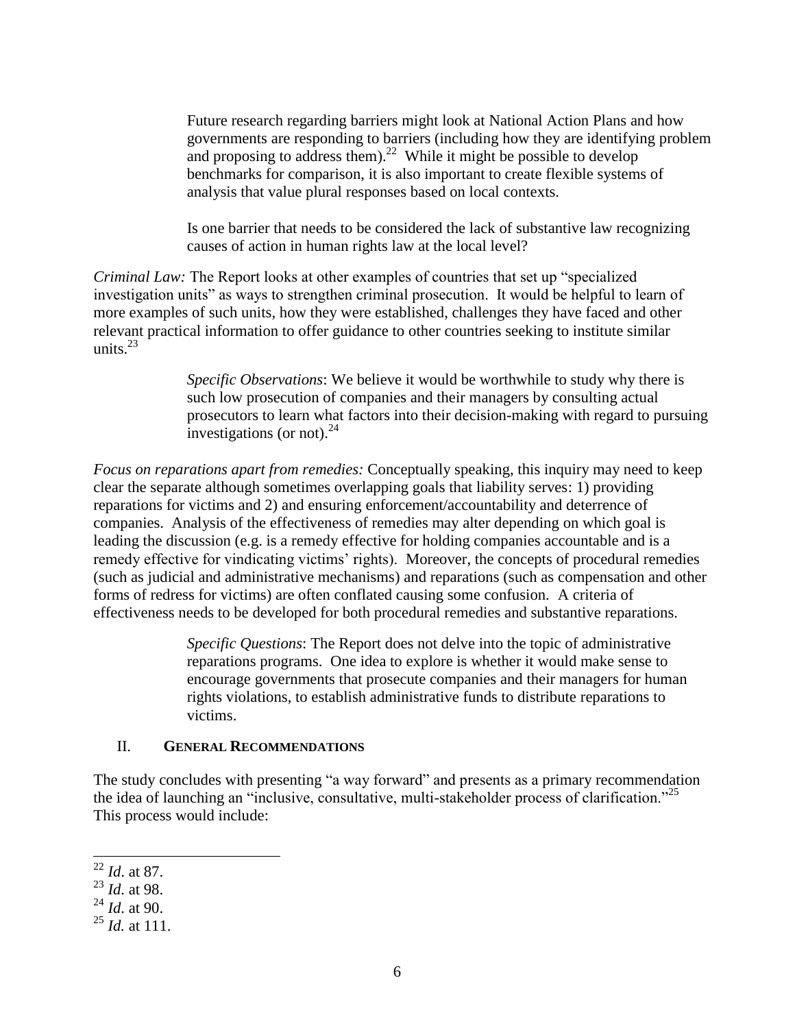Future research regarding barriers might look at National Action Plans and how governments are responding to barriers (including how they are identifying problem and proposing to address them).<sup>22</sup> While it might be possible to develop benchmarks for comparison, it is also important to create flexible systems of analysis that value plural responses based on local contexts.

Is one barrier that needs to be considered the lack of substantive law recognizing causes of action in human rights law at the local level?

*Criminal Law:* The Report looks at other examples of countries that set up "specialized investigation units" as ways to strengthen criminal prosecution. It would be helpful to learn of more examples of such units, how they were established, challenges they have faced and other relevant practical information to offer guidance to other countries seeking to institute similar units. $^{23}$ 

> *Specific Observations*: We believe it would be worthwhile to study why there is such low prosecution of companies and their managers by consulting actual prosecutors to learn what factors into their decision-making with regard to pursuing investigations (or not). $^{24}$

*Focus on reparations apart from remedies:* Conceptually speaking, this inquiry may need to keep clear the separate although sometimes overlapping goals that liability serves: 1) providing reparations for victims and 2) and ensuring enforcement/accountability and deterrence of companies. Analysis of the effectiveness of remedies may alter depending on which goal is leading the discussion (e.g. is a remedy effective for holding companies accountable and is a remedy effective for vindicating victims' rights). Moreover, the concepts of procedural remedies (such as judicial and administrative mechanisms) and reparations (such as compensation and other forms of redress for victims) are often conflated causing some confusion. A criteria of effectiveness needs to be developed for both procedural remedies and substantive reparations.

> *Specific Questions*: The Report does not delve into the topic of administrative reparations programs. One idea to explore is whether it would make sense to encourage governments that prosecute companies and their managers for human rights violations, to establish administrative funds to distribute reparations to victims.

## II. **GENERAL RECOMMENDATIONS**

The study concludes with presenting "a way forward" and presents as a primary recommendation the idea of launching an "inclusive, consultative, multi-stakeholder process of clarification."<sup>25</sup> This process would include:

 $\overline{\phantom{a}}$ 

<sup>22</sup> *Id*. at 87.

<sup>23</sup> *Id*. at 98.

<sup>24</sup> *Id*. at 90.

<sup>25</sup> *Id.* at 111.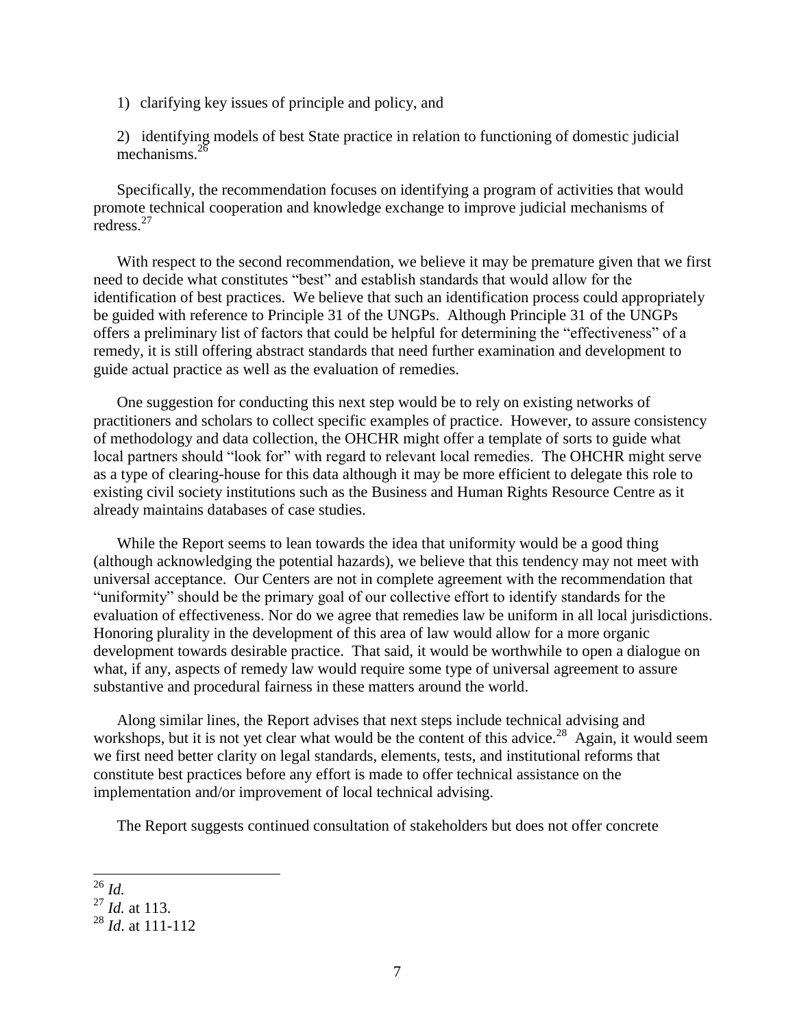1) clarifying key issues of principle and policy, and

2) identifying models of best State practice in relation to functioning of domestic judicial mechanisms. $2^{\bar{c}}$ 

Specifically, the recommendation focuses on identifying a program of activities that would promote technical cooperation and knowledge exchange to improve judicial mechanisms of redress.<sup>27</sup>

With respect to the second recommendation, we believe it may be premature given that we first need to decide what constitutes "best" and establish standards that would allow for the identification of best practices. We believe that such an identification process could appropriately be guided with reference to Principle 31 of the UNGPs. Although Principle 31 of the UNGPs offers a preliminary list of factors that could be helpful for determining the "effectiveness" of a remedy, it is still offering abstract standards that need further examination and development to guide actual practice as well as the evaluation of remedies.

One suggestion for conducting this next step would be to rely on existing networks of practitioners and scholars to collect specific examples of practice. However, to assure consistency of methodology and data collection, the OHCHR might offer a template of sorts to guide what local partners should "look for" with regard to relevant local remedies. The OHCHR might serve as a type of clearing-house for this data although it may be more efficient to delegate this role to existing civil society institutions such as the Business and Human Rights Resource Centre as it already maintains databases of case studies.

While the Report seems to lean towards the idea that uniformity would be a good thing (although acknowledging the potential hazards), we believe that this tendency may not meet with universal acceptance. Our Centers are not in complete agreement with the recommendation that "uniformity" should be the primary goal of our collective effort to identify standards for the evaluation of effectiveness. Nor do we agree that remedies law be uniform in all local jurisdictions. Honoring plurality in the development of this area of law would allow for a more organic development towards desirable practice. That said, it would be worthwhile to open a dialogue on what, if any, aspects of remedy law would require some type of universal agreement to assure substantive and procedural fairness in these matters around the world.

Along similar lines, the Report advises that next steps include technical advising and workshops, but it is not yet clear what would be the content of this advice.<sup>28</sup> Again, it would seem we first need better clarity on legal standards, elements, tests, and institutional reforms that constitute best practices before any effort is made to offer technical assistance on the implementation and/or improvement of local technical advising.

The Report suggests continued consultation of stakeholders but does not offer concrete

l <sup>26</sup> *Id.* 

<sup>27</sup> *Id.* at 113.

<sup>28</sup> *Id*. at 111-112